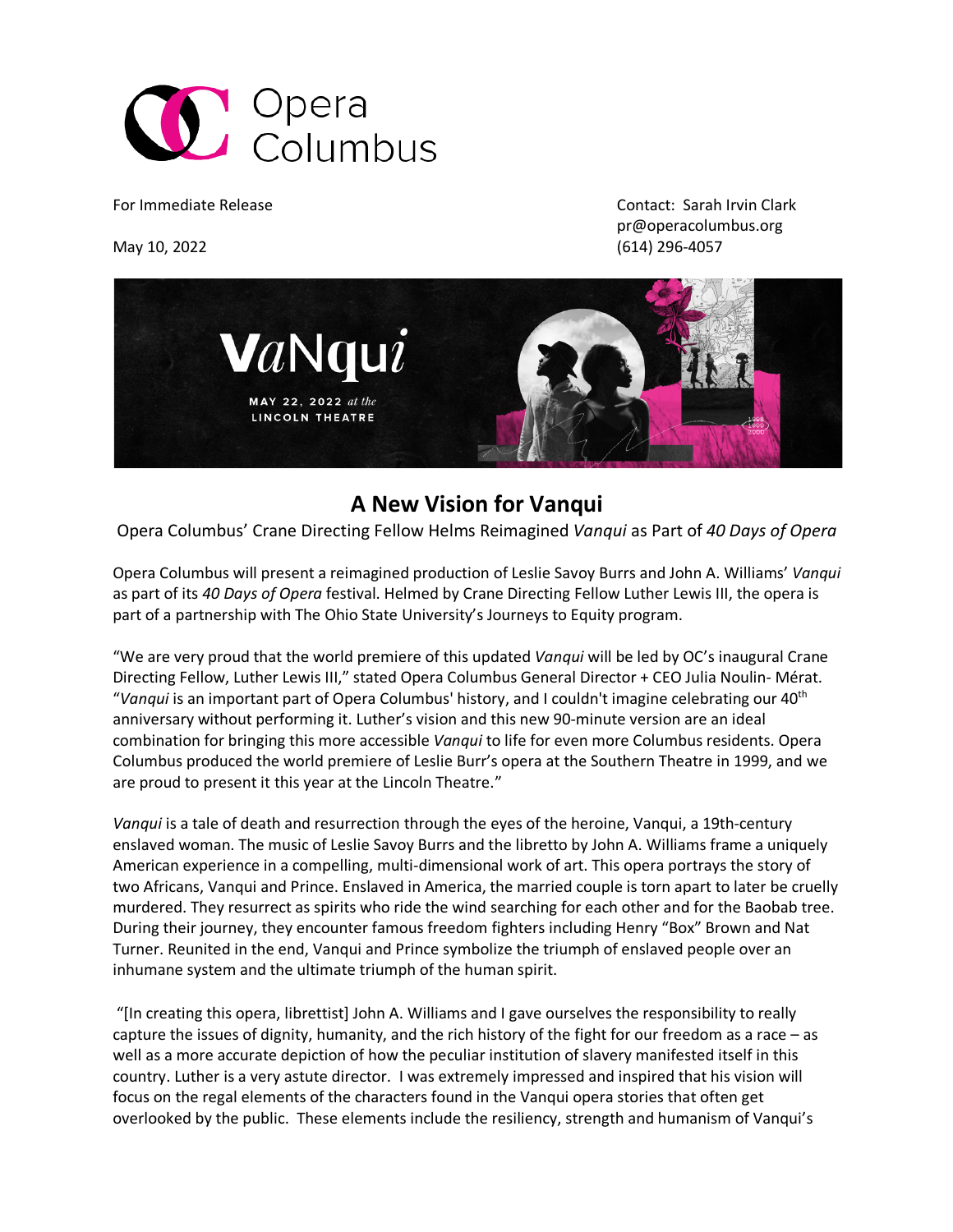

For Immediate Release Contact: Sarah Irvin Clark pr@operacolumbus.org May 10, 2022 (614) 296-4057



# **A New Vision for Vanqui**

Opera Columbus' Crane Directing Fellow Helms Reimagined *Vanqui* as Part of *40 Days of Opera*

Opera Columbus will present a reimagined production of Leslie Savoy Burrs and John A. Williams' *Vanqui* as part of its *40 Days of Opera* festival. Helmed by Crane Directing Fellow Luther Lewis III, the opera is part of a partnership with The Ohio State University's Journeys to Equity program.

"We are very proud that the world premiere of this updated *Vanqui* will be led by OC's inaugural Crane Directing Fellow, Luther Lewis III," stated Opera Columbus General Director + CEO Julia Noulin- Mérat. "*Vanqui* is an important part of Opera Columbus' history, and I couldn't imagine celebrating our 40th anniversary without performing it. Luther's vision and this new 90-minute version are an ideal combination for bringing this more accessible *Vanqui* to life for even more Columbus residents. Opera Columbus produced the world premiere of Leslie Burr's opera at the Southern Theatre in 1999, and we are proud to present it this year at the Lincoln Theatre."

*Vanqui* is a tale of death and resurrection through the eyes of the heroine, Vanqui, a 19th-century enslaved woman. The music of Leslie Savoy Burrs and the libretto by John A. Williams frame a uniquely American experience in a compelling, multi-dimensional work of art. This opera portrays the story of two Africans, Vanqui and Prince. Enslaved in America, the married couple is torn apart to later be cruelly murdered. They resurrect as spirits who ride the wind searching for each other and for the Baobab tree. During their journey, they encounter famous freedom fighters including Henry "Box" Brown and Nat Turner. Reunited in the end, Vanqui and Prince symbolize the triumph of enslaved people over an inhumane system and the ultimate triumph of the human spirit.

"[In creating this opera, librettist] John A. Williams and I gave ourselves the responsibility to really capture the issues of dignity, humanity, and the rich history of the fight for our freedom as a race – as well as a more accurate depiction of how the peculiar institution of slavery manifested itself in this country. Luther is a very astute director. I was extremely impressed and inspired that his vision will focus on the regal elements of the characters found in the Vanqui opera stories that often get overlooked by the public. These elements include the resiliency, strength and humanism of Vanqui's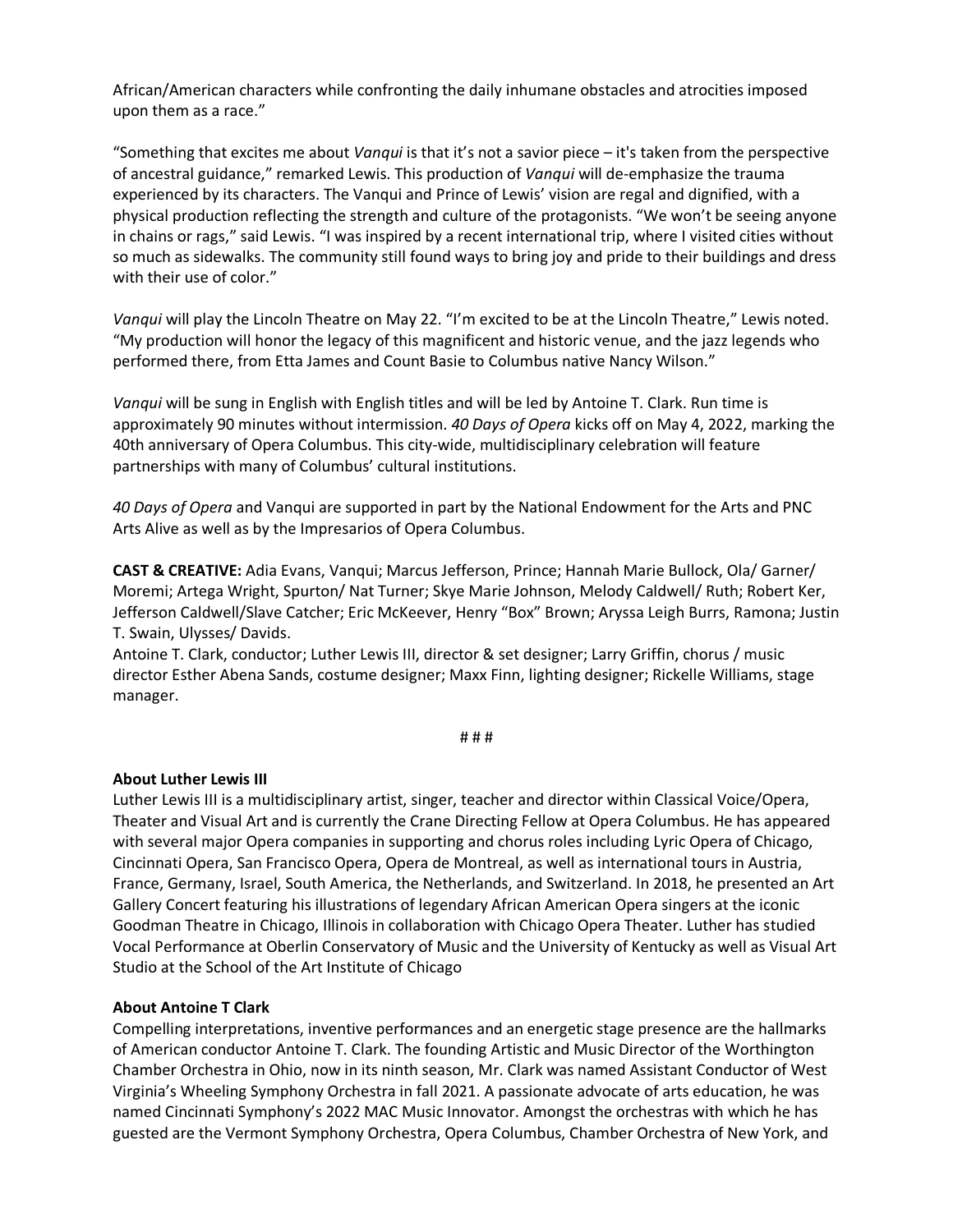African/American characters while confronting the daily inhumane obstacles and atrocities imposed upon them as a race."

"Something that excites me about *Vanqui* is that it's not a savior piece – it's taken from the perspective of ancestral guidance," remarked Lewis. This production of *Vanqui* will de-emphasize the trauma experienced by its characters. The Vanqui and Prince of Lewis' vision are regal and dignified, with a physical production reflecting the strength and culture of the protagonists. "We won't be seeing anyone in chains or rags," said Lewis. "I was inspired by a recent international trip, where I visited cities without so much as sidewalks. The community still found ways to bring joy and pride to their buildings and dress with their use of color."

*Vanqui* will play the Lincoln Theatre on May 22. "I'm excited to be at the Lincoln Theatre," Lewis noted. "My production will honor the legacy of this magnificent and historic venue, and the jazz legends who performed there, from Etta James and Count Basie to Columbus native Nancy Wilson."

*Vanqui* will be sung in English with English titles and will be led by Antoine T. Clark. Run time is approximately 90 minutes without intermission. *40 Days of Opera* kicks off on May 4, 2022, marking the 40th anniversary of Opera Columbus. This city-wide, multidisciplinary celebration will feature partnerships with many of Columbus' cultural institutions.

*40 Days of Opera* and Vanqui are supported in part by the National Endowment for the Arts and PNC Arts Alive as well as by the Impresarios of Opera Columbus.

**CAST & CREATIVE:** Adia Evans, Vanqui; Marcus Jefferson, Prince; Hannah Marie Bullock, Ola/ Garner/ Moremi; Artega Wright, Spurton/ Nat Turner; Skye Marie Johnson, Melody Caldwell/ Ruth; Robert Ker, Jefferson Caldwell/Slave Catcher; Eric McKeever, Henry "Box" Brown; Aryssa Leigh Burrs, Ramona; Justin T. Swain, Ulysses/ Davids.

Antoine T. Clark, conductor; Luther Lewis III, director & set designer; Larry Griffin, chorus / music director Esther Abena Sands, costume designer; Maxx Finn, lighting designer; Rickelle Williams, stage manager.

# # #

#### **About Luther Lewis III**

Luther Lewis III is a multidisciplinary artist, singer, teacher and director within Classical Voice/Opera, Theater and Visual Art and is currently the Crane Directing Fellow at Opera Columbus. He has appeared with several major Opera companies in supporting and chorus roles including Lyric Opera of Chicago, Cincinnati Opera, San Francisco Opera, Opera de Montreal, as well as international tours in Austria, France, Germany, Israel, South America, the Netherlands, and Switzerland. In 2018, he presented an Art Gallery Concert featuring his illustrations of legendary African American Opera singers at the iconic Goodman Theatre in Chicago, Illinois in collaboration with Chicago Opera Theater. Luther has studied Vocal Performance at Oberlin Conservatory of Music and the University of Kentucky as well as Visual Art Studio at the School of the Art Institute of Chicago

#### **About Antoine T Clark**

Compelling interpretations, inventive performances and an energetic stage presence are the hallmarks of American conductor Antoine T. Clark. The founding Artistic and Music Director of the Worthington Chamber Orchestra in Ohio, now in its ninth season, Mr. Clark was named Assistant Conductor of West Virginia's Wheeling Symphony Orchestra in fall 2021. A passionate advocate of arts education, he was named Cincinnati Symphony's 2022 MAC Music Innovator. Amongst the orchestras with which he has guested are the Vermont Symphony Orchestra, Opera Columbus, Chamber Orchestra of New York, and